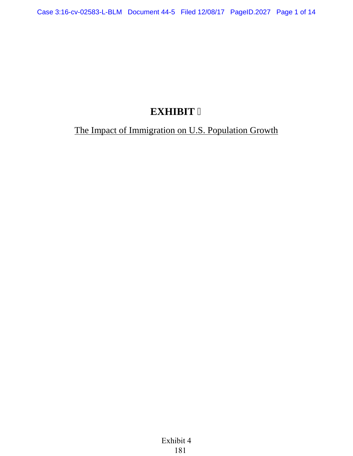# **EXHIBIT 6**

# The Impact of Immigration on U.S. Population Growth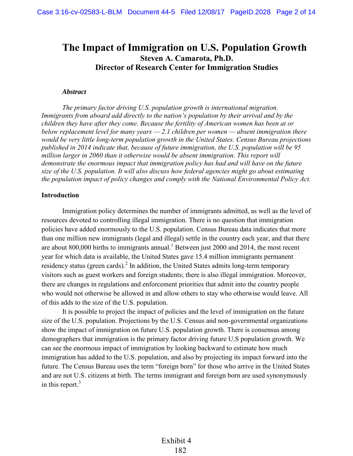## **The Impact of Immigration on U.S. Population Growth Steven A. Camarota, Ph.D. Director of Research Center for Immigration Studies**

#### *Abstract*

*The primary factor driving U.S. population growth is international migration. Immigrants from aboard add directly to the nation's population by their arrival and by the children they have after they come. Because the fertility of American women has been at or below replacement level for many years — 2.1 children per women — absent immigration there would be very little long-term population growth in the United States. Census Bureau projections published in 2014 indicate that, because of future immigration, the U.S. population will be 95 million larger in 2060 than it otherwise would be absent immigration. This report will demonstrate the enormous impact that immigration policy has had and will have on the future size of the U.S. population. It will also discuss how federal agencies might go about estimating the population impact of policy changes and comply with the National Environmental Policy Act.* 

## **Introduction**

Immigration policy determines the number of immigrants admitted, as well as the level of resources devoted to controlling illegal immigration. There is no question that immigration policies have added enormously to the U.S. population. Census Bureau data indicates that more than one million new immigrants (legal and illegal) settle in the country each year, and that there are about 800,000 births to immigrants annual.<sup>1</sup> Between just 2000 and 2014, the most recent year for which data is available, the United States gave 15.4 million immigrants permanent residency status (green cards).<sup>2</sup> In addition, the United States admits long-term temporary visitors such as guest workers and foreign students; there is also illegal immigration. Moreover, there are changes in regulations and enforcement priorities that admit into the country people who would not otherwise be allowed in and allow others to stay who otherwise would leave. All of this adds to the size of the U.S. population.

It is possible to project the impact of policies and the level of immigration on the future size of the U.S. population. Projections by the U.S. Census and non-governmental organizations show the impact of immigration on future U.S. population growth. There is consensus among demographers that immigration is the primary factor driving future U.S population growth. We can see the enormous impact of immigration by looking backward to estimate how much immigration has added to the U.S. population, and also by projecting its impact forward into the future. The Census Bureau uses the term "foreign born" for those who arrive in the United States and are not U.S. citizens at birth. The terms immigrant and foreign born are used synonymously in this report. $3$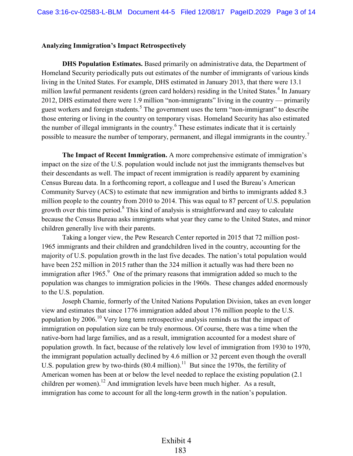## **Analyzing Immigration's Impact Retrospectively**

**DHS Population Estimates.** Based primarily on administrative data, the Department of Homeland Security periodically puts out estimates of the number of immigrants of various kinds living in the United States. For example, DHS estimated in January 2013, that there were 13.1 million lawful permanent residents (green card holders) residing in the United States.<sup>4</sup> In January 2012, DHS estimated there were 1.9 million "non-immigrants" living in the country — primarily guest workers and foreign students.<sup>5</sup> The government uses the term "non-immigrant" to describe those entering or living in the country on temporary visas. Homeland Security has also estimated the number of illegal immigrants in the country.<sup>6</sup> These estimates indicate that it is certainly possible to measure the number of temporary, permanent, and illegal immigrants in the country.<sup>7</sup>

**The Impact of Recent Immigration.** A more comprehensive estimate of immigration's impact on the size of the U.S. population would include not just the immigrants themselves but their descendants as well. The impact of recent immigration is readily apparent by examining Census Bureau data. In a forthcoming report, a colleague and I used the Bureau's American Community Survey (ACS) to estimate that new immigration and births to immigrants added 8.3 million people to the country from 2010 to 2014. This was equal to 87 percent of U.S. population growth over this time period.<sup>8</sup> This kind of analysis is straightforward and easy to calculate because the Census Bureau asks immigrants what year they came to the United States, and minor children generally live with their parents.

Taking a longer view, the Pew Research Center reported in 2015 that 72 million post-1965 immigrants and their children and grandchildren lived in the country, accounting for the majority of U.S. population growth in the last five decades. The nation's total population would have been 252 million in 2015 rather than the 324 million it actually was had there been no immigration after 1965.<sup>9</sup> One of the primary reasons that immigration added so much to the population was changes to immigration policies in the 1960s. These changes added enormously to the U.S. population.

Joseph Chamie, formerly of the United Nations Population Division, takes an even longer view and estimates that since 1776 immigration added about 176 million people to the U.S. population by 2006.<sup>10</sup> Very long term retrospective analysis reminds us that the impact of immigration on population size can be truly enormous. Of course, there was a time when the native-born had large families, and as a result, immigration accounted for a modest share of population growth. In fact, because of the relatively low level of immigration from 1930 to 1970, the immigrant population actually declined by 4.6 million or 32 percent even though the overall U.S. population grew by two-thirds  $(80.4 \text{ million})$ .<sup>11</sup> But since the 1970s, the fertility of American women has been at or below the level needed to replace the existing population (2.1 children per women).<sup>12</sup> And immigration levels have been much higher. As a result, immigration has come to account for all the long-term growth in the nation's population.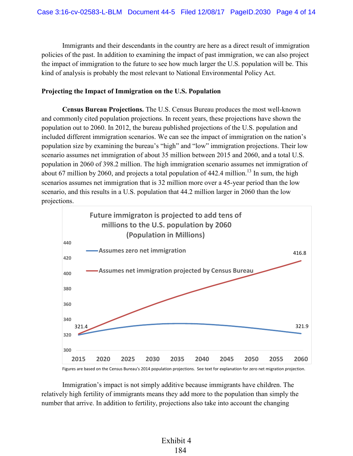Immigrants and their descendants in the country are here as a direct result of immigration policies of the past. In addition to examining the impact of past immigration, we can also project the impact of immigration to the future to see how much larger the U.S. population will be. This kind of analysis is probably the most relevant to National Environmental Policy Act.

## **Projecting the Impact of Immigration on the U.S. Population**

**Census Bureau Projections.** The U.S. Census Bureau produces the most well-known and commonly cited population projections. In recent years, these projections have shown the population out to 2060. In 2012, the bureau published projections of the U.S. population and included different immigration scenarios. We can see the impact of immigration on the nation's population size by examining the bureau's "high" and "low" immigration projections. Their low scenario assumes net immigration of about 35 million between 2015 and 2060, and a total U.S. population in 2060 of 398.2 million. The high immigration scenario assumes net immigration of about 67 million by 2060, and projects a total population of  $442.4$  million.<sup>13</sup> In sum, the high scenarios assumes net immigration that is 32 million more over a 45-year period than the low scenario, and this results in a U.S. population that 44.2 million larger in 2060 than the low projections.



Figures are based on the Census Bureau's 2014 population projections. See text for explanation for zero net migration projection.

Immigration's impact is not simply additive because immigrants have children. The relatively high fertility of immigrants means they add more to the population than simply the number that arrive. In addition to fertility, projections also take into account the changing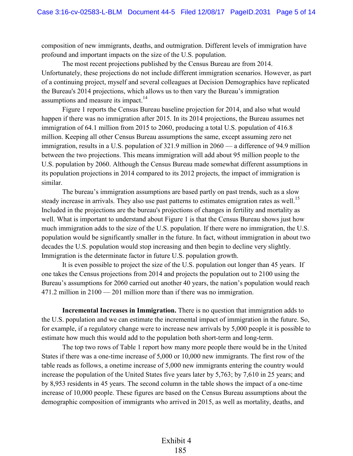composition of new immigrants, deaths, and outmigration. Different levels of immigration have profound and important impacts on the size of the U.S. population.

The most recent projections published by the Census Bureau are from 2014. Unfortunately, these projections do not include different immigration scenarios. However, as part of a continuing project, myself and several colleagues at Decision Demographics have replicated the Bureau's 2014 projections, which allows us to then vary the Bureau's immigration assumptions and measure its impact.<sup>14</sup>

Figure 1 reports the Census Bureau baseline projection for 2014, and also what would happen if there was no immigration after 2015. In its 2014 projections, the Bureau assumes net immigration of 64.1 million from 2015 to 2060, producing a total U.S. population of 416.8 million. Keeping all other Census Bureau assumptions the same, except assuming zero net immigration, results in a U.S. population of 321.9 million in 2060 — a difference of 94.9 million between the two projections. This means immigration will add about 95 million people to the U.S. population by 2060. Although the Census Bureau made somewhat different assumptions in its population projections in 2014 compared to its 2012 projects, the impact of immigration is similar.

The bureau's immigration assumptions are based partly on past trends, such as a slow steady increase in arrivals. They also use past patterns to estimates emigration rates as well.<sup>15</sup> Included in the projections are the bureau's projections of changes in fertility and mortality as well. What is important to understand about Figure 1 is that the Census Bureau shows just how much immigration adds to the size of the U.S. population. If there were no immigration, the U.S. population would be significantly smaller in the future. In fact, without immigration in about two decades the U.S. population would stop increasing and then begin to decline very slightly. Immigration is the determinate factor in future U.S. population growth.

It is even possible to project the size of the U.S. population out longer than 45 years. If one takes the Census projections from 2014 and projects the population out to 2100 using the Bureau's assumptions for 2060 carried out another 40 years, the nation's population would reach 471.2 million in 2100 — 201 million more than if there was no immigration.

**Incremental Increases in Immigration.** There is no question that immigration adds to the U.S. population and we can estimate the incremental impact of immigration in the future. So, for example, if a regulatory change were to increase new arrivals by 5,000 people it is possible to estimate how much this would add to the population both short-term and long-term.

The top two rows of Table 1 report how many more people there would be in the United States if there was a one-time increase of 5,000 or 10,000 new immigrants. The first row of the table reads as follows, a onetime increase of 5,000 new immigrants entering the country would increase the population of the United States five years later by 5,763; by 7,610 in 25 years; and by 8,953 residents in 45 years. The second column in the table shows the impact of a one-time increase of 10,000 people. These figures are based on the Census Bureau assumptions about the demographic composition of immigrants who arrived in 2015, as well as mortality, deaths, and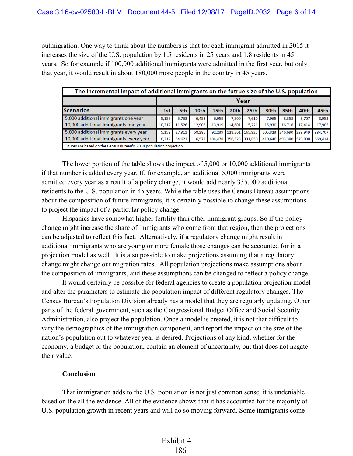outmigration. One way to think about the numbers is that for each immigrant admitted in 2015 it increases the size of the U.S. population by 1.5 residents in 25 years and 1.8 residents in 45 years. So for example if 100,000 additional immigrants were admitted in the first year, but only that year, it would result in about 180,000 more people in the country in 45 years.

| The incremental impact of additional immigrants on the futrue size of the U.S. population |        |        |         |        |                         |         |         |                         |        |         |
|-------------------------------------------------------------------------------------------|--------|--------|---------|--------|-------------------------|---------|---------|-------------------------|--------|---------|
|                                                                                           | Year   |        |         |        |                         |         |         |                         |        |         |
| <b>Scenarios</b>                                                                          | 1st l  | 5th    | 10th    | 15th   | 20th                    | 25th    | 30th    | 35th                    | 40th   | 45th    |
| 5,000 additional immigrants one year                                                      | 5,159  | 5.763  | 6.453   | 6,959  | 7,300                   | 7,610   | 7,965   | 8,358                   | 8.707  | 8,953   |
| 10,000 additional immigrants one year                                                     | 10,317 | 11,526 | 12,906  | 13,919 | 14,601                  | 15,221  | 15,930  | 16,716                  | 17,414 | 17,905  |
| 5,000 additional immigrants every year                                                    | 5,159  | 27,311 | 58,286  | 92,239 | 128,261                 | 165,925 | 205,323 | 246,690 289,949         |        | 334,707 |
| 10,000 additional immigrants every year                                                   | 10,317 | 54,622 | 116,573 |        | 184,478 256,523 331,850 |         |         | 410,646 493,380 579,898 |        | 669,414 |
| Figures are based on the Census Bureau's 2014 population projection.                      |        |        |         |        |                         |         |         |                         |        |         |

The lower portion of the table shows the impact of 5,000 or 10,000 additional immigrants if that number is added every year. If, for example, an additional 5,000 immigrants were admitted every year as a result of a policy change, it would add nearly 335,000 additional residents to the U.S. population in 45 years. While the table uses the Census Bureau assumptions about the composition of future immigrants, it is certainly possible to change these assumptions to project the impact of a particular policy change.

Hispanics have somewhat higher fertility than other immigrant groups. So if the policy change might increase the share of immigrants who come from that region, then the projections can be adjusted to reflect this fact. Alternatively, if a regulatory change might result in additional immigrants who are young or more female those changes can be accounted for in a projection model as well. It is also possible to make projections assuming that a regulatory change might change out migration rates. All population projections make assumptions about the composition of immigrants, and these assumptions can be changed to reflect a policy change.

It would certainly be possible for federal agencies to create a population projection model and alter the parameters to estimate the population impact of different regulatory changes. The Census Bureau's Population Division already has a model that they are regularly updating. Other parts of the federal government, such as the Congressional Budget Office and Social Security Administration, also project the population. Once a model is created, it is not that difficult to vary the demographics of the immigration component, and report the impact on the size of the nation's population out to whatever year is desired. Projections of any kind, whether for the economy, a budget or the population, contain an element of uncertainty, but that does not negate their value.

## **Conclusion**

That immigration adds to the U.S. population is not just common sense, it is undeniable based on the all the evidence. All of the evidence shows that it has accounted for the majority of U.S. population growth in recent years and will do so moving forward. Some immigrants come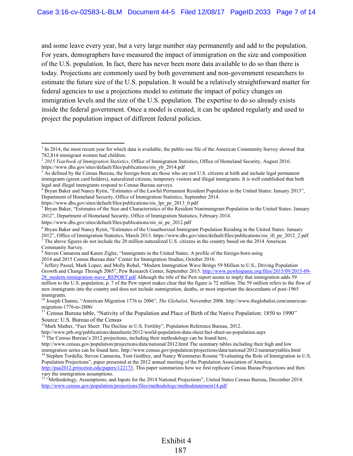and some leave every year, but a very large number stay permanently and add to the population. For years, demographers have measured the impact of immigration on the size and composition of the U.S. population. In fact, there has never been more data available to do so than there is today. Projections are commonly used by both government and non-government researchers to estimate the future size of the U.S. population. It would be a relatively straightforward matter for federal agencies to use a projections model to estimate the impact of policy changes on immigration levels and the size of the U.S. population. The expertise to do so already exists inside the federal government. Once a model is created, it can be updated regularly and used to project the population impact of different federal policies.

 $\overline{\phantom{a}}$ 

 $<sup>1</sup>$  In 2014, the most recent year for which data is available, the public-use file of the American Community Survey showed that</sup>

<sup>782,814</sup> immigrant women had children. 2 *2015 Yearbook of Immigration Statistics*, Office of Immigration Statistics, Office of Homeland Security, August 2016. https://www.dhs.gov/sites/default/files/publications/ois\_yb\_2014.pdf

 $3$  As defined by the Census Bureau, the foreign-born are those who are not U.S. citizens at birth and include legal permanent immigrants (green card holders), naturalized citizens, temporary visitors and illegal immigrants. It is well established that both legal and illegal immigrants respond to Census Bureau surveys.

<sup>&</sup>lt;sup>4</sup> Bryan Baker and Nancy Rytin, "Estimates of the Lawful Permanent Resident Population in the United States: January 2013", Department of Homeland Security, Office of Immigration Statistics, September 2014.

https://www.dhs.gov/sites/default/files/publications/ois\_lpr\_pe\_2013\_0.pdf

<sup>&</sup>lt;sup>5</sup> Bryan Baker, "Estimates of the Size and Characteristics of the Resident Nonimmigrant Population in the United States: January 2012", Department of Homeland Security, Office of Immigration Statistics, February 2014.

https://www.dhs.gov/sites/default/files/publications/ois\_ni\_pe\_2012.pdf

<sup>&</sup>lt;sup>6</sup> Bryan Baker and Nancy Rytin, "Estimates of the Unauthorized Immigrant Population Residing in the United States: January

<sup>2012&</sup>quot;, Office of Immigration Statistics, March 2013. https://www.dhs.gov/sites/default/files/publications/ois\_ill\_pe\_2012\_2.pdf  $<sup>7</sup>$  The above figures do not include the 20 million naturalized U.S. citizens in the country based on the 2014 American</sup>

Community Survey.

<sup>&</sup>lt;sup>8</sup> Steven Camarota and Karen Zigler, "Immigrants in the United States: A profile of the foreign-born using

<sup>2014</sup> and 2015 Census Bureau data" Center for Immigration Studies, October 2016. 9 Jeffery Passel, Mark Lopez, and Molly Rohal, "Modern Immigration Wave Brings 59 Million to U.S., Driving Population Growth and Change Through 2065", Pew Research Center, September 2015. [http://www.pewhispanic.org/files/2015/09/2015-09-](www.pewhispanic.org/files/2015/09/2015-09-28_modern-immigration-wave_REPORT.pdf) [28\\_modern-immigration-wave\\_REPORT.pdf](www.pewhispanic.org/files/2015/09/2015-09-28_modern-immigration-wave_REPORT.pdf) Although the title of the Pew report seems to imply that immigration adds 59 million to the U.S. population, p. 7 of the Pew report makes clear that the figure is 72 million. The 59 million refers to the flow of new immigrants into the country and does not include outmigration, deaths, or most important the descendants of post-1965 immigrants.

<sup>10</sup> Joseph Chamie, "American Migration 1776 to 2006", *The Globalist,* November 2006. http://www.theglobalist.com/americanmigration-1776-to-2006/

<sup>&</sup>lt;sup>11</sup> Census Bureau table, "Nativity of the Population and Place of Birth of the Native Population: 1850 to 1990" Source: U.S. Bureau of the Census

<sup>&</sup>lt;sup>12</sup>Mark Mather, "Fact Sheet: The Decline in U.S. Fertility", Population Reference Bureau, 2012.

http://www.prb.org/publications/datasheets/2012/world-population-data-sheet/fact-sheet-us-population.aspx

<sup>&</sup>lt;sup>13</sup> The Census Bureau's 2012 projections, including their methodology can be found here.

http://www.census.gov/population/projections/data/national/2012.html The summary tables including their high and low immigration series can be found here. http://www.census.gov/population/projections/data/national/2012/summarytables.html <sup>14</sup> Stephen Tordella, Steven Camarota, Tom Godfrey, and Nancy Wemmerus Rosene "Evaluating the Role of Immigration in U.S. Population Projections", paper presented at the 2012 annual meeting of the Population Association of America.

[http://paa2012.princeton.edu/papers/122173.](http://paa2012.princeton.edu/papers/122173) This paper summarizes how we first replicate Census Bueau Projections and then vary the immigration assumptions.

<sup>&</sup>lt;sup>15</sup> "Methodology, Assumptions, and Inputs for the 2014 National Projections", United States Census Bureau, December 2014. [http://www.census.gov/population/projections/files/methodology/methodstatement14.pdf](www.census.gov/population/projections/files/methodology/methodstatement14.pdf)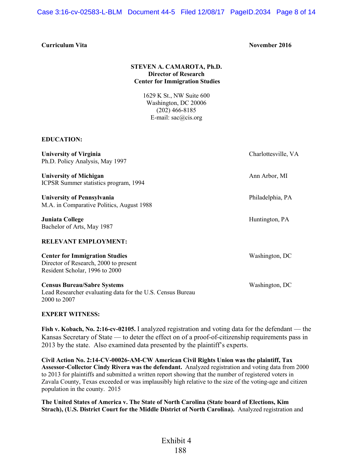Case 3:16-cv-02583-L-BLM Document 44-5 Filed 12/08/17 PageID.2034 Page 8 of 14

## **Curriculum Vita** November 2016

## **STEVEN A. CAMAROTA, Ph.D. Director of Research Center for Immigration Studies**

1629 K St., NW Suite 600 Washington, DC 20006 (202) 466-8185 E-mail: sac@cis.org

## **EDUCATION:**

| <b>University of Virginia</b><br>Ph.D. Policy Analysis, May 1997                                                 | Charlottesville, VA |  |  |  |
|------------------------------------------------------------------------------------------------------------------|---------------------|--|--|--|
| <b>University of Michigan</b><br>ICPSR Summer statistics program, 1994                                           | Ann Arbor, MI       |  |  |  |
| University of Pennsylvania<br>M.A. in Comparative Politics, August 1988                                          | Philadelphia, PA    |  |  |  |
| Juniata College<br>Bachelor of Arts, May 1987                                                                    | Huntington, PA      |  |  |  |
| <b>RELEVANT EMPLOYMENT:</b>                                                                                      |                     |  |  |  |
| <b>Center for Immigration Studies</b><br>Director of Research, 2000 to present<br>Resident Scholar, 1996 to 2000 | Washington, DC      |  |  |  |
| <b>Census Bureau/Sabre Systems</b><br>Lead Researcher evaluating data for the U.S. Census Bureau<br>2000 to 2007 | Washington, DC      |  |  |  |

#### **EXPERT WITNESS:**

**Fish v. Kobach, No. 2:16-cv-02105.** I analyzed registration and voting data for the defendant — the Kansas Secretary of State — to deter the effect on of a proof-of-citizenship requirements pass in 2013 by the state. Also examined data presented by the plaintiff's experts.

**Civil Action No. 2:14-CV-00026-AM-CW American Civil Rights Union was the plaintiff, Tax Assessor-Collector Cindy Rivera was the defendant.** Analyzed registration and voting data from 2000 to 2013 for plaintiffs and submitted a written report showing that the number of registered voters in Zavala County, Texas exceeded or was implausibly high relative to the size of the voting-age and citizen population in the county. 2015

**The United States of America v. The State of North Carolina (State board of Elections, Kim Strach), (U.S. District Court for the Middle District of North Carolina).** Analyzed registration and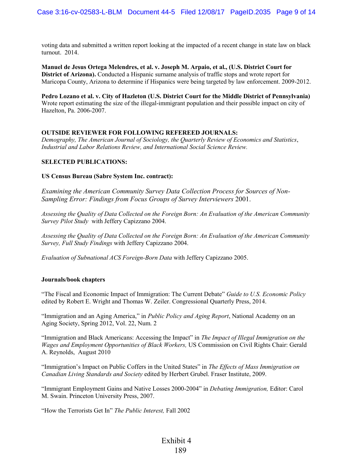voting data and submitted a written report looking at the impacted of a recent change in state law on black turnout. 2014.

**Manuel de Jesus Ortega Melendres, et al. v. Joseph M. Arpaio, et al., (U.S. District Court for District of Arizona).** Conducted a Hispanic surname analysis of traffic stops and wrote report for Maricopa County, Arizona to determine if Hispanics were being targeted by law enforcement. 2009-2012.

**Pedro Lozano et al. v. City of Hazleton (U.S. District Court for the Middle District of Pennsylvania)**  Wrote report estimating the size of the illegal-immigrant population and their possible impact on city of Hazelton, Pa. 2006-2007.

## **OUTSIDE REVIEWER FOR FOLLOWING REFEREED JOURNALS:**

*Demography, The American Journal of Sociology, the Quarterly Review of Economics and Statistics*, *Industrial and Labor Relations Review, and International Social Science Review.*

## **SELECTED PUBLICATIONS:**

## **US Census Bureau (Sabre System Inc. contract):**

*Examining the American Community Survey Data Collection Process for Sources of Non-Sampling Error: Findings from Focus Groups of Survey Interviewers* 2001.

*Assessing the Quality of Data Collected on the Foreign Born: An Evaluation of the American Community Survey Pilot Study* with Jeffery Capizzano 2004.

*Assessing the Quality of Data Collected on the Foreign Born: An Evaluation of the American Community Survey, Full Study Findings* with Jeffery Capizzano 2004.

*Evaluation of Subnational ACS Foreign-Born Data* with Jeffery Capizzano 2005.

## **Journals/book chapters**

"The Fiscal and Economic Impact of Immigration: The Current Debate" *Guide to U.S. Economic Policy*  edited by Robert E. Wright and Thomas W. Zeiler. Congressional Quarterly Press, 2014.

"Immigration and an Aging America," in *Public Policy and Aging Report*, National Academy on an Aging Society, Spring 2012, Vol. 22, Num. 2

"Immigration and Black Americans: Accessing the Impact" in *The Impact of Illegal Immigration on the Wages and Employment Opportunities of Black Workers,* US Commission on Civil Rights Chair: Gerald A. Reynolds, August 2010

"Immigration's Impact on Public Coffers in the United States" in *The Effects of Mass Immigration on Canadian Living Standards and Society* edited by Herbert Grubel. Fraser Institute, 2009.

"Immigrant Employment Gains and Native Losses 2000-2004" in *Debating Immigration,* Editor: Carol M. Swain. Princeton University Press, 2007.

"How the Terrorists Get In" *The Public Interest,* Fall 2002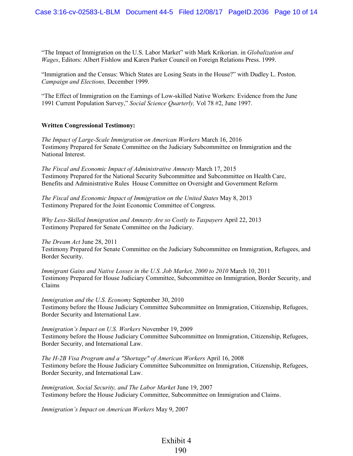"The Impact of Immigration on the U.S. Labor Market" with Mark Krikorian. in *Globalization and Wages*, Editors: Albert Fishlow and Karen Parker Council on Foreign Relations Press. 1999.

"Immigration and the Census: Which States are Losing Seats in the House?" with Dudley L. Poston. *Campaign and Elections,* December 1999.

"The Effect of Immigration on the Earnings of Low-skilled Native Workers: Evidence from the June 1991 Current Population Survey," *Social Science Quarterly,* Vol 78 #2, June 1997.

## **Written Congressional Testimony:**

*The Impact of Large-Scale Immigration on American Workers* March 16, 2016 Testimony Prepared for Senate Committee on the Judiciary Subcommittee on Immigration and the National Interest.

*The Fiscal and Economic Impact of Administrative Amnesty* March 17, 2015 Testimony Prepared for the National Security Subcommittee and Subcommittee on Health Care, Benefits and Administrative Rules House Committee on Oversight and Government Reform

*The Fiscal and Economic Impact of Immigration on the United States* May 8, 2013 Testimony Prepared for the Joint Economic Committee of Congress.

*Why Less-Skilled Immigration and Amnesty Are so Costly to Taxpayers* April 22, 2013 Testimony Prepared for Senate Committee on the Judiciary.

*The Dream Act* June 28, 2011

Testimony Prepared for Senate Committee on the Judiciary Subcommittee on Immigration, Refugees, and Border Security.

*Immigrant Gains and Native Losses in the U.S. Job Market, 2000 to 2010* March 10, 2011 Testimony Prepared for House Judiciary Committee, Subcommittee on Immigration, Border Security, and Claims

*Immigration and the U.S. Economy* September 30, 2010 Testimony before the House Judiciary Committee Subcommittee on Immigration, Citizenship, Refugees, Border Security and International Law.

*Immigration's Impact on U.S. Workers* November 19, 2009 Testimony before the House Judiciary Committee Subcommittee on Immigration, Citizenship, Refugees, Border Security, and International Law.

*The H-2B Visa Program and a "Shortage" of American Workers* April 16, 2008 Testimony before the House Judiciary Committee Subcommittee on Immigration, Citizenship, Refugees, Border Security, and International Law.

*Immigration, Social Security, and The Labor Market June 19, 2007* Testimony before the House Judiciary Committee, Subcommittee on Immigration and Claims.

*Immigration's Impact on American Workers* May 9, 2007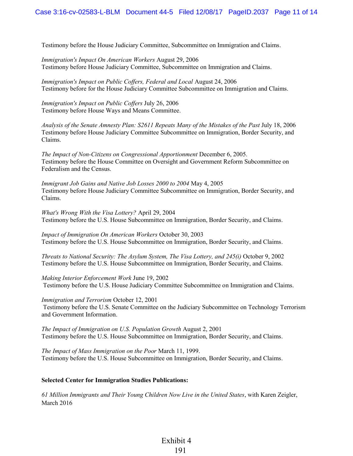Testimony before the House Judiciary Committee, Subcommittee on Immigration and Claims.

*Immigration's Impact On American Workers* August 29, 2006 Testimony before House Judiciary Committee, Subcommittee on Immigration and Claims.

*Immigration's Impact on Public Coffers, Federal and Local August 24, 2006* Testimony before for the House Judiciary Committee Subcommittee on Immigration and Claims.

*Immigration's Impact on Public Coffers* July 26, 2006 Testimony before House Ways and Means Committee.

*Analysis of the Senate Amnesty Plan: S2611 Repeats Many of the Mistakes of the Past* July 18, 2006 Testimony before House Judiciary Committee Subcommittee on Immigration, Border Security, and Claims.

*The Impact of Non-Citizens on Congressional Apportionment* December 6, 2005. Testimony before the House Committee on Oversight and Government Reform Subcommittee on Federalism and the Census.

*Immigrant Job Gains and Native Job Losses 2000 to 2004* May 4, 2005 Testimony before House Judiciary Committee Subcommittee on Immigration, Border Security, and Claims.

*What's Wrong With the Visa Lottery?* April 29, 2004 Testimony before the U.S. House Subcommittee on Immigration, Border Security, and Claims.

*Impact of Immigration On American Workers* October 30, 2003 Testimony before the U.S. House Subcommittee on Immigration, Border Security, and Claims.

*Threats to National Security: The Asylum System, The Visa Lottery, and 245(i)* October 9, 2002 Testimony before the U.S. House Subcommittee on Immigration, Border Security, and Claims.

*Making Interior Enforcement Work* June 19, 2002

Testimony before the U.S. House Judiciary Committee Subcommittee on Immigration and Claims.

*Immigration and Terrorism* October 12, 2001 Testimony before the U.S. Senate Committee on the Judiciary Subcommittee on Technology Terrorism and Government Information.

*The Impact of Immigration on U.S. Population Growth* August 2, 2001 Testimony before the U.S. House Subcommittee on Immigration, Border Security, and Claims.

*The Impact of Mass Immigration on the Poor* March 11, 1999. Testimony before the U.S. House Subcommittee on Immigration, Border Security, and Claims.

## **Selected Center for Immigration Studies Publications:**

*61 Million Immigrants and Their Young Children Now Live in the United States*, with Karen Zeigler, March 2016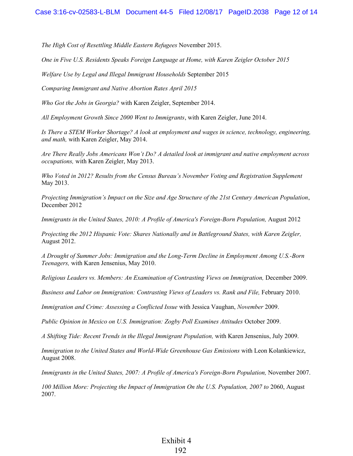*The High Cost of Resettling Middle Eastern Refugees* November 2015.

*One in Five U.S. Residents Speaks Foreign Language at Home, with Karen Zeigler October 2015* 

*Welfare Use by Legal and Illegal Immigrant Households* September 2015

*Comparing Immigrant and Native Abortion Rates April 2015* 

*Who Got the Jobs in Georgia?* with Karen Zeigler, September 2014.

*All Employment Growth Since 2000 Went to Immigrants*, with Karen Zeigler, June 2014.

*Is There a STEM Worker Shortage? A look at employment and wages in science, technology, engineering, and math,* with Karen Zeigler, May 2014.

*Are There Really Jobs Americans Won't Do? A detailed look at immigrant and native employment across occupations,* with Karen Zeigler, May 2013.

*Who Voted in 2012? Results from the Census Bureau's November Voting and Registration Supplement* May 2013.

*Projecting Immigration's Impact on the Size and Age Structure of the 21st Century American Population*, December 2012

*Immigrants in the United States, 2010: A Profile of America's Foreign-Born Population,* August 2012

*Projecting the 2012 Hispanic Vote: Shares Nationally and in Battleground States, with Karen Zeigler,*  August 2012.

*A Drought of Summer Jobs: Immigration and the Long-Term Decline in Employment Among U.S.-Born Teenagers,* with Karen Jensenius, May 2010.

*Religious Leaders vs. Members: An Examination of Contrasting Views on Immigration,* December 2009.

*Business and Labor on Immigration: Contrasting Views of Leaders vs. Rank and File, February 2010.* 

*Immigration and Crime: Assessing a Conflicted Issue* with Jessica Vaughan, *November* 2009.

*Public Opinion in Mexico on U.S. Immigration: Zogby Poll Examines Attitudes* October 2009.

*A Shifting Tide: Recent Trends in the Illegal Immigrant Population,* with Karen Jensenius, July 2009.

*Immigration to the United States and World-Wide Greenhouse Gas Emissions* with Leon Kolankiewicz, August 2008.

*Immigrants in the United States, 2007: A Profile of America's Foreign-Born Population,* November 2007.

*100 Million More: Projecting the Impact of Immigration On the U.S. Population, 2007 to* 2060, August 2007.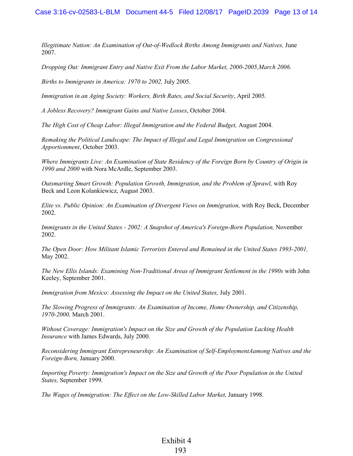*Illegitimate Nation: An Examination of Out-of-Wedlock Births Among Immigrants and Natives,* June 2007.

*Dropping Out: Immigrant Entry and Native Exit From the Labor Market, 2000-2005,March 2006.* 

*Births to Immigrants in America: 1970 to 2002,* July 2005.

*Immigration in an Aging Society: Workers, Birth Rates, and Social Security*, April 2005.

*A Jobless Recovery? Immigrant Gains and Native Losses*, October 2004.

*The High Cost of Cheap Labor: Illegal Immigration and the Federal Budget,* August 2004.

*Remaking the Political Landscape: The Impact of Illegal and Legal Immigration on Congressional Apportionment*, October 2003.

*Where Immigrants Live: An Examination of State Residency of the Foreign Born by Country of Origin in 1990 and 2000* with Nora McArdle, September 2003.

*Outsmarting Smart Growth: Population Growth, Immigration, and the Problem of Sprawl,* with Roy Beck and Leon Kolankiewicz, August 2003.

*Elite vs. Public Opinion: An Examination of Divergent Views on Immigration,* with Roy Beck, December 2002.

*Immigrants in the United States - 2002: A Snapshot of America's Foreign-Born Population,* November 2002.

*The Open Door: How Militant Islamic Terrorists Entered and Remained in the United States 1993-2001,* May 2002.

*The New Ellis Islands: Examining Non-Traditional Areas of Immigrant Settlement in the 1990s* with John Keeley, September 2001.

*Immigration from Mexico: Assessing the Impact on the United States,* July 2001.

*The Slowing Progress of Immigrants: An Examination of Income, Home Ownership, and Citizenship, 1970-2000,* March 2001.

*Without Coverage: Immigration's Impact on the Size and Growth of the Population Lacking Health Insurance* with James Edwards, July 2000.

*Reconsidering Immigrant Entrepreneurship: An Examination of Self-EmploymentAamong Natives and the Foreign-Born,* January 2000.

*Importing Poverty: Immigration's Impact on the Size and Growth of the Poor Population in the United States,* September 1999.

*The Wages of Immigration: The Effect on the Low-Skilled Labor Market,* January 1998.